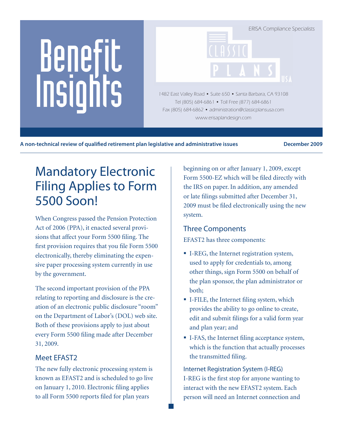# Benefit Insights

ERISA Compliance Specialists 1482 East Valley Road • Suite 650 • Santa Barbara, CA 93108 Tel (805) 684-6861 • Toll Free (877) 684-6861 Fax (805) 684-6862 • administration@classicplansusa.com

www.erisaplandesign.com

A non-technical review of qualified retirement plan legislative and administrative issues **December 2009** 

# Mandatory Electronic Filing Applies to Form 5500 Soon!

When Congress passed the Pension Protection Act of 2006 (PPA), it enacted several provisions that affect your Form 5500 filing. The first provision requires that you file Form 5500 electronically, thereby eliminating the expensive paper processing system currently in use by the government.

The second important provision of the PPA relating to reporting and disclosure is the creation of an electronic public disclosure "room" on the Department of Labor's (DOL) web site. Both of these provisions apply to just about every Form 5500 filing made after December 31, 2009.

# Meet EFAST2

The new fully electronic processing system is known as EFAST2 and is scheduled to go live on January 1, 2010. Electronic filing applies to all Form 5500 reports filed for plan years

beginning on or after January 1, 2009, except Form 5500-EZ which will be filed directly with the IRS on paper. In addition, any amended or late filings submitted after December 31, 2009 must be filed electronically using the new system.

# Three Components

EFAST2 has three components:

- I-REG, the Internet registration system, used to apply for credentials to, among other things, sign Form 5500 on behalf of the plan sponsor, the plan administrator or both;
- I-FILE, the Internet filing system, which provides the ability to go online to create, edit and submit filings for a valid form year and plan year; and
- I-FAS, the Internet filing acceptance system, which is the function that actually processes the transmitted filing.

Internet Registration System (I-REG) I-REG is the first stop for anyone wanting to interact with the new EFAST2 system. Each person will need an Internet connection and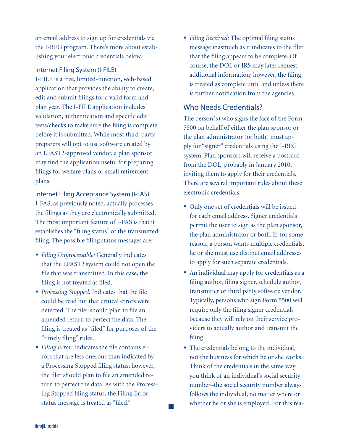an email address to sign up for credentials via the I-REG program. There's more about establishing your electronic credentials below.

#### Internet Filing System (I-FILE)

I-FILE is a free, limited-function, web-based application that provides the ability to create, edit and submit filings for a valid form and plan year. The I-FILE application includes validation, authentication and specific edit tests/checks to make sure the filing is complete before it is submitted. While most third-party preparers will opt to use software created by an EFAST2-approved vendor, a plan sponsor may find the application useful for preparing filings for welfare plans or small retirement plans.

Internet Filing Acceptance System (I-FAS)

I-FAS, as previously noted, actually processes the filings as they are electronically submitted. The most important feature of I-FAS is that it establishes the "filing status" of the transmitted filing. The possible filing status messages are:

- *Filing Unprocessable:* Generally indicates that the EFAST2 system could not open the file that was transmitted. In this case, the filing is not treated as filed.
- *Processing Stopped:* Indicates that the file could be read but that critical errors were detected. The filer should plan to file an amended return to perfect the data. The filing is treated as "filed" for purposes of the "timely filing" rules.
- *Filing Error:* Indicates the file contains errors that are less onerous than indicated by a Processing Stopped filing status; however, the filer should plan to file an amended return to perfect the data. As with the Processing Stopped filing status, the Filing Error status message is treated as "filed."

 *Filing Received:* The optimal filing status message inasmuch as it indicates to the filer that the filing appears to be complete. Of course, the DOL or IRS may later request additional information; however, the filing is treated as complete until and unless there is further notification from the agencies.

#### Who Needs Credentials?

The person(s) who signs the face of the Form 5500 on behalf of either the plan sponsor or the plan administrator (or both) must apply for "signer" credentials using the I-REG system. Plan sponsors will receive a postcard from the DOL, probably in January 2010, inviting them to apply for their credentials. There are several important rules about these electronic credentials:

- Only one set of credentials will be issued for each email address. Signer credentials permit the user to sign as the plan sponsor, the plan administrator or both. If, for some reason, a person wants multiple credentials, he or she must use distinct email addresses to apply for such separate credentials.
- An individual may apply for credentials as a filing author, filing signer, schedule author, transmitter or third party software vendor. Typically, persons who sign Form 5500 will require only the filing signer credentials because they will rely on their service providers to actually author and transmit the filing.
- The credentials belong to the individual, not the business for which he or she works. Think of the credentials in the same way you think of an individual's social security number–the social security number always follows the individual, no matter where or whether he or she is employed. For this rea-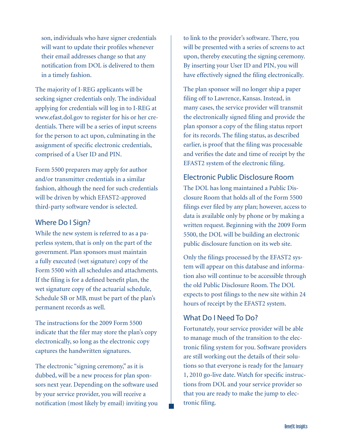son, individuals who have signer credentials will want to update their profiles whenever their email addresses change so that any notification from DOL is delivered to them in a timely fashion.

The majority of I-REG applicants will be seeking signer credentials only. The individual applying for credentials will log in to I-REG at www.efast.dol.gov to register for his or her credentials. There will be a series of input screens for the person to act upon, culminating in the assignment of specific electronic credentials, comprised of a User ID and PIN.

Form 5500 preparers may apply for author and/or transmitter credentials in a similar fashion, although the need for such credentials will be driven by which EFAST2-approved third-party software vendor is selected.

#### Where Do I Sign?

While the new system is referred to as a paperless system, that is only on the part of the government. Plan sponsors must maintain a fully executed (wet signature) copy of the Form 5500 with all schedules and attachments. If the filing is for a defined benefit plan, the wet signature copy of the actuarial schedule, Schedule SB or MB, must be part of the plan's permanent records as well.

The instructions for the 2009 Form 5500 indicate that the filer may store the plan's copy electronically, so long as the electronic copy captures the handwritten signatures.

The electronic "signing ceremony," as it is dubbed, will be a new process for plan sponsors next year. Depending on the software used by your service provider, you will receive a notification (most likely by email) inviting you

to link to the provider's software. There, you will be presented with a series of screens to act upon, thereby executing the signing ceremony. By inserting your User ID and PIN, you will have effectively signed the filing electronically.

The plan sponsor will no longer ship a paper filing off to Lawrence, Kansas. Instead, in many cases, the service provider will transmit the electronically signed filing and provide the plan sponsor a copy of the filing status report for its records. The filing status, as described earlier, is proof that the filing was processable and verifies the date and time of receipt by the EFAST2 system of the electronic filing.

#### Electronic Public Disclosure Room

The DOL has long maintained a Public Disclosure Room that holds all of the Form 5500 filings ever filed by any plan; however, access to data is available only by phone or by making a written request. Beginning with the 2009 Form 5500, the DOL will be building an electronic public disclosure function on its web site.

Only the filings processed by the EFAST2 system will appear on this database and information also will continue to be accessible through the old Public Disclosure Room. The DOL expects to post filings to the new site within 24 hours of receipt by the EFAST2 system.

### What Do I Need To Do?

Fortunately, your service provider will be able to manage much of the transition to the electronic filing system for you. Software providers are still working out the details of their solutions so that everyone is ready for the January 1, 2010 go-live date. Watch for specific instructions from DOL and your service provider so that you are ready to make the jump to electronic filing.